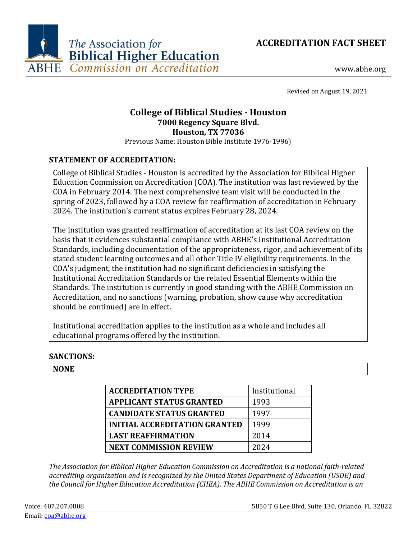



www.abhe.org

Revised on August 19, 2021

# **College of Biblical Studies - Houston 7000 Regency Square Blvd. Houston, TX 77036**

Previous Name: Houston Bible Institute 1976-1996)

# **STATEMENT OF ACCREDITATION:**

College of Biblical Studies - Houston is accredited by the Association for Biblical Higher Education Commission on Accreditation (COA). The institution was last reviewed by the COA in February 2014. The next comprehensive team visit will be conducted in the spring of 2023, followed by a COA review for reaffirmation of accreditation in February 2024. The institution's current status expires February 28, 2024.

The institution was granted reaffirmation of accreditation at its last COA review on the basis that it evidences substantial compliance with ABHE's Institutional Accreditation Standards, including documentation of the appropriateness, rigor, and achievement of its stated student learning outcomes and all other Title IV eligibility requirements. In the COA's judgment, the institution had no significant deficiencies in satisfying the Institutional Accreditation Standards or the related Essential Elements within the Standards. The institution is currently in good standing with the ABHE Commission on Accreditation, and no sanctions (warning, probation, show cause why accreditation should be continued) are in effect.

Institutional accreditation applies to the institution as a whole and includes all educational programs offered by the institution.

# **SANCTIONS:**

#### **NONE**

| <b>ACCREDITATION TYPE</b>            | Institutional |
|--------------------------------------|---------------|
| <b>APPLICANT STATUS GRANTED</b>      | 1993          |
| <b>CANDIDATE STATUS GRANTED</b>      | 1997          |
| <b>INITIAL ACCREDITATION GRANTED</b> | 1999          |
| <b>LAST REAFFIRMATION</b>            | 2014          |
| <b>NEXT COMMISSION REVIEW</b>        | 2024          |

*The Association for Biblical Higher Education Commission on Accreditation is a national faith-related accrediting organization and is recognized by the United States Department of Education (USDE) and the Council for Higher Education Accreditation (CHEA). The ABHE Commission on Accreditation is an*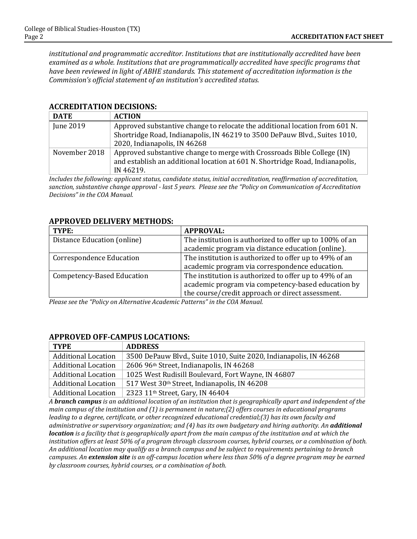*institutional and programmatic accreditor. Institutions that are institutionally accredited have been examined as a whole. Institutions that are programmatically accredited have specific programs that have been reviewed in light of ABHE standards. This statement of accreditation information is the Commission's official statement of an institution's accredited status.*

| <b>DATE</b>   | <b>ACTION</b>                                                                                                                                                                             |
|---------------|-------------------------------------------------------------------------------------------------------------------------------------------------------------------------------------------|
| June 2019     | Approved substantive change to relocate the additional location from 601 N.<br>Shortridge Road, Indianapolis, IN 46219 to 3500 DePauw Blvd., Suites 1010,<br>2020, Indianapolis, IN 46268 |
| November 2018 | Approved substantive change to merge with Crossroads Bible College (IN)<br>and establish an additional location at 601 N. Shortridge Road, Indianapolis,<br>IN 46219.                     |

### **ACCREDITATION DECISIONS:**

*Includes the following: applicant status, candidate status, initial accreditation, reaffirmation of accreditation, sanction, substantive change approval - last 5 years. Please see the "Policy on Communication of Accreditation Decisions" in the COA Manual.*

# **APPROVED DELIVERY METHODS:**

| TYPE:                             | <b>APPROVAL:</b>                                        |
|-----------------------------------|---------------------------------------------------------|
| Distance Education (online)       | The institution is authorized to offer up to 100% of an |
|                                   | academic program via distance education (online).       |
| <b>Correspondence Education</b>   | The institution is authorized to offer up to 49% of an  |
|                                   | academic program via correspondence education.          |
| <b>Competency-Based Education</b> | The institution is authorized to offer up to 49% of an  |
|                                   | academic program via competency-based education by      |
|                                   | the course/credit approach or direct assessment.        |

*Please see the "Policy on Alternative Academic Patterns" in the COA Manual.*

#### **APPROVED OFF-CAMPUS LOCATIONS:**

| <b>TYPE</b>                | <b>ADDRESS</b>                                                    |
|----------------------------|-------------------------------------------------------------------|
| <b>Additional Location</b> | 3500 DePauw Blvd., Suite 1010, Suite 2020, Indianapolis, IN 46268 |
| <b>Additional Location</b> | 2606 96th Street, Indianapolis, IN 46268                          |
| <b>Additional Location</b> | 1025 West Rudisill Boulevard, Fort Wayne, IN 46807                |
| <b>Additional Location</b> | 517 West 30th Street, Indianapolis, IN 46208                      |
| <b>Additional Location</b> | 2323 11 <sup>th</sup> Street, Gary, IN 46404                      |

*A branch campus is an additional location of an institution that is geographically apart and independent of the main campus of the institution and (1) is permanent in nature;(2) offers courses in educational programs leading to a degree, certificate, or other recognized educational credential;(3) has its own faculty and administrative or supervisory organization; and (4) has its own budgetary and hiring authority. An additional location is a facility that is geographically apart from the main campus of the institution and at which the institution offers at least 50% of a program through classroom courses, hybrid courses, or a combination of both. An additional location may qualify as a branch campus and be subject to requirements pertaining to branch campuses. An extension site is an off-campus location where less than 50% of a degree program may be earned by classroom courses, hybrid courses, or a combination of both.*